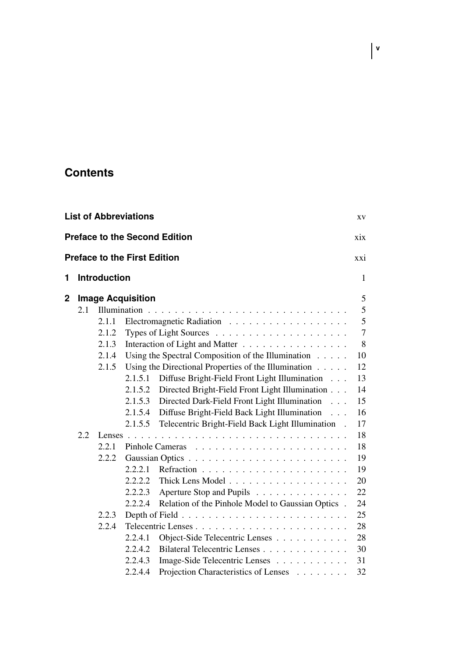## **Contents**

| <b>List of Abbreviations</b><br>XV          |                                     |       |                          |                                                                          |     |
|---------------------------------------------|-------------------------------------|-------|--------------------------|--------------------------------------------------------------------------|-----|
| <b>Preface to the Second Edition</b><br>xix |                                     |       |                          |                                                                          |     |
|                                             | <b>Preface to the First Edition</b> |       |                          |                                                                          | xxi |
| 1                                           | <b>Introduction</b>                 |       |                          | 1                                                                        |     |
| 2                                           |                                     |       | <b>Image Acquisition</b> |                                                                          | 5   |
|                                             | 2.1                                 |       |                          |                                                                          | 5   |
|                                             |                                     | 2.1.1 |                          |                                                                          | 5   |
|                                             |                                     | 2.1.2 |                          |                                                                          | 7   |
|                                             |                                     | 2.1.3 |                          | Interaction of Light and Matter                                          | 8   |
|                                             |                                     | 2.1.4 |                          | Using the Spectral Composition of the Illumination                       | 10  |
|                                             |                                     | 2.1.5 |                          | Using the Directional Properties of the Illumination $\ldots$ .          | 12  |
|                                             |                                     |       | 2.1.5.1                  | Diffuse Bright-Field Front Light Illumination                            | 13  |
|                                             |                                     |       | 2.1.5.2                  | Directed Bright-Field Front Light Illumination                           | 14  |
|                                             |                                     |       | 2.1.5.3                  | Directed Dark-Field Front Light Illumination                             | 15  |
|                                             |                                     |       | 2.1.5.4                  | Diffuse Bright-Field Back Light Illumination<br>$\sim 10$ .              | 16  |
|                                             |                                     |       | 2.1.5.5                  | Telecentric Bright-Field Back Light Illumination.                        | 17  |
|                                             | 2.2                                 |       |                          |                                                                          | 18  |
|                                             |                                     | 2.2.1 |                          |                                                                          | 18  |
|                                             |                                     | 2.2.2 |                          |                                                                          | 19  |
|                                             |                                     |       | 2.2.2.1                  |                                                                          | 19  |
|                                             |                                     |       | 2.2.2.2                  | Thick Lens Model                                                         | 20  |
|                                             |                                     |       | 2.2.2.3                  | Aperture Stop and Pupils                                                 | 22  |
|                                             |                                     |       | 2.2.2.4                  | Relation of the Pinhole Model to Gaussian Optics .                       | 24  |
|                                             |                                     | 2.2.3 |                          | Depth of Field $\ldots \ldots \ldots \ldots \ldots \ldots \ldots \ldots$ | 25  |
|                                             |                                     | 2.2.4 |                          |                                                                          | 28  |
|                                             |                                     |       | 2.2.4.1                  | Object-Side Telecentric Lenses                                           | 28  |
|                                             |                                     |       | 2.2.4.2                  | Bilateral Telecentric Lenses                                             | 30  |
|                                             |                                     |       | 2.2.4.3                  | Image-Side Telecentric Lenses                                            | 31  |
|                                             |                                     |       | 2.2.4.4                  | Projection Characteristics of Lenses                                     | 32  |

**v**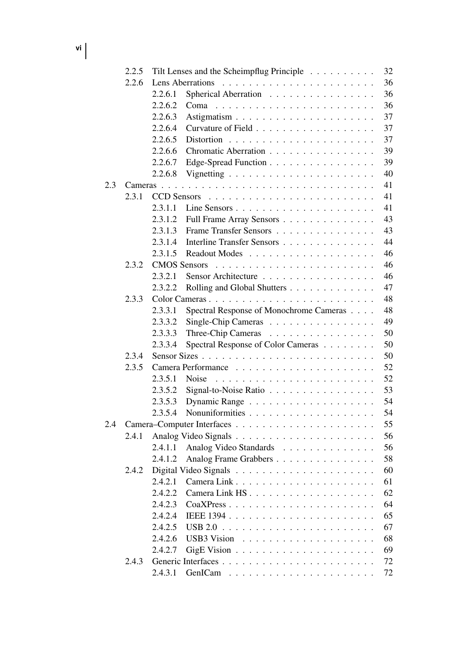**vi**

|     | 2.2.5 | Tilt Lenses and the Scheimpflug Principle                             | 32 |
|-----|-------|-----------------------------------------------------------------------|----|
|     | 2.2.6 | Lens Aberrations                                                      | 36 |
|     |       | 2.2.6.1<br>Spherical Aberration                                       | 36 |
|     |       | 2.2.6.2<br>Coma                                                       | 36 |
|     |       | 2.2.6.3                                                               | 37 |
|     |       | 2.2.6.4                                                               | 37 |
|     |       | 2.2.6.5                                                               | 37 |
|     |       | 2.2.6.6<br>Chromatic Aberration                                       | 39 |
|     |       | 2.2.6.7<br>Edge-Spread Function                                       | 39 |
|     |       | 2.2.6.8                                                               | 40 |
| 2.3 |       |                                                                       | 41 |
|     | 2.3.1 | <b>CCD</b> Sensors                                                    | 41 |
|     |       | 2.3.1.1                                                               | 41 |
|     |       | 2.3.1.2<br>Full Frame Array Sensors                                   | 43 |
|     |       | 2.3.1.3<br>Frame Transfer Sensors                                     | 43 |
|     |       | 2.3.1.4<br>Interline Transfer Sensors                                 | 44 |
|     |       | 2.3.1.5                                                               | 46 |
|     | 2.3.2 | <b>CMOS</b> Sensors                                                   | 46 |
|     |       | 2.3.2.1<br>Sensor Architecture                                        | 46 |
|     |       | 2.3.2.2<br>Rolling and Global Shutters                                | 47 |
|     | 2.3.3 |                                                                       | 48 |
|     |       | 2.3.3.1<br>Spectral Response of Monochrome Cameras                    | 48 |
|     |       | 2.3.3.2<br>Single-Chip Cameras                                        | 49 |
|     |       | 2.3.3.3<br>Three-Chip Cameras                                         | 50 |
|     |       | 2.3.3.4<br>Spectral Response of Color Cameras                         | 50 |
|     | 2.3.4 |                                                                       | 50 |
|     | 2.3.5 |                                                                       | 52 |
|     |       | 2.3.5.1<br>Noise                                                      | 52 |
|     |       | 2.3.5.2<br>Signal-to-Noise Ratio $\ldots \ldots \ldots \ldots \ldots$ | 53 |
|     |       | 2.3.5.3                                                               | 54 |
|     |       | 2.3.5.4                                                               | 54 |
| 2.4 |       |                                                                       | 55 |
|     | 2.4.1 |                                                                       | 56 |
|     |       | Analog Video Standards<br>2.4.1.1                                     | 56 |
|     |       | 2.4.1.2<br>Analog Frame Grabbers                                      | 58 |
|     | 2.4.2 |                                                                       | 60 |
|     |       | 2.4.2.1                                                               | 61 |
|     |       | 2.4.2.2<br>Camera Link HS                                             | 62 |
|     |       | 2.4.2.3<br>CoaXPress                                                  | 64 |
|     |       | 2.4.2.4                                                               | 65 |
|     |       | 2.4.2.5                                                               | 67 |
|     |       | 2.4.2.6                                                               | 68 |
|     |       | 2.4.2.7<br>GigE Vision $\ldots \ldots \ldots \ldots \ldots \ldots$    | 69 |
|     | 2.4.3 |                                                                       | 72 |
|     |       | 2.4.3.1                                                               | 72 |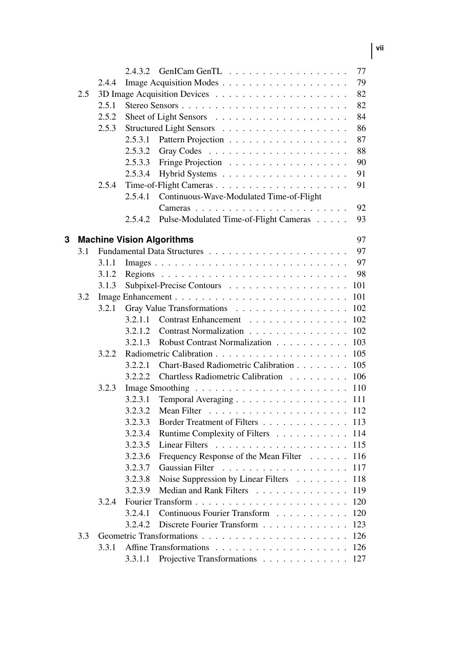|   |     |       | 2.4.3.2 |                                                                          | 77  |
|---|-----|-------|---------|--------------------------------------------------------------------------|-----|
|   |     | 2.4.4 |         |                                                                          | 79  |
|   | 2.5 |       |         |                                                                          | 82  |
|   |     | 2.5.1 |         |                                                                          | 82  |
|   |     | 2.5.2 |         | Sheet of Light Sensors $\dots \dots \dots \dots \dots \dots \dots \dots$ | 84  |
|   |     | 2.5.3 |         |                                                                          | 86  |
|   |     |       | 2.5.3.1 |                                                                          | 87  |
|   |     |       | 2.5.3.2 |                                                                          | 88  |
|   |     |       | 2.5.3.3 |                                                                          | 90  |
|   |     |       | 2.5.3.4 |                                                                          | 91  |
|   |     | 2.5.4 |         |                                                                          | 91  |
|   |     |       | 2.5.4.1 | Continuous-Wave-Modulated Time-of-Flight                                 |     |
|   |     |       |         | Cameras                                                                  | 92  |
|   |     |       | 2.5.4.2 | Pulse-Modulated Time-of-Flight Cameras                                   | 93  |
| 3 |     |       |         | <b>Machine Vision Algorithms</b>                                         | 97  |
|   | 3.1 |       |         |                                                                          | 97  |
|   |     | 3.1.1 |         |                                                                          | 97  |
|   |     | 3.1.2 |         |                                                                          | 98  |
|   |     | 3.1.3 |         | Subpixel-Precise Contours                                                | 101 |
|   | 3.2 |       |         |                                                                          | 101 |
|   |     | 3.2.1 |         | Gray Value Transformations<br>.                                          | 102 |
|   |     |       | 3.2.1.1 | Contrast Enhancement                                                     | 102 |
|   |     |       | 3.2.1.2 | Contrast Normalization                                                   | 102 |
|   |     |       | 3.2.1.3 | Robust Contrast Normalization                                            | 103 |
|   |     | 3.2.2 |         |                                                                          | 105 |
|   |     |       | 3.2.2.1 | Chart-Based Radiometric Calibration                                      | 105 |
|   |     |       | 3.2.2.2 | Chartless Radiometric Calibration                                        | 106 |
|   |     | 3.2.3 |         |                                                                          | 110 |
|   |     |       | 3.2.3.1 | Temporal Averaging                                                       | 111 |
|   |     |       | 3.2.3.2 |                                                                          | 112 |
|   |     |       | 3.2.3.3 | Border Treatment of Filters                                              | 113 |
|   |     |       | 3.2.3.4 | Runtime Complexity of Filters                                            | 114 |
|   |     |       | 3.2.3.5 |                                                                          | 115 |
|   |     |       | 3.2.3.6 | Frequency Response of the Mean Filter                                    | 116 |
|   |     |       | 3.2.3.7 | Gaussian Filter<br>.                                                     | 117 |
|   |     |       | 3.2.3.8 | Noise Suppression by Linear Filters                                      | 118 |
|   |     |       | 3.2.3.9 | Median and Rank Filters                                                  | 119 |
|   |     | 3.2.4 |         |                                                                          | 120 |
|   |     |       | 3.2.4.1 | Continuous Fourier Transform                                             | 120 |
|   |     |       | 3.2.4.2 | Discrete Fourier Transform                                               | 123 |
|   | 3.3 |       |         |                                                                          | 126 |
|   |     | 3.3.1 |         |                                                                          | 126 |
|   |     |       | 3.3.1.1 | Projective Transformations                                               | 127 |

**vii**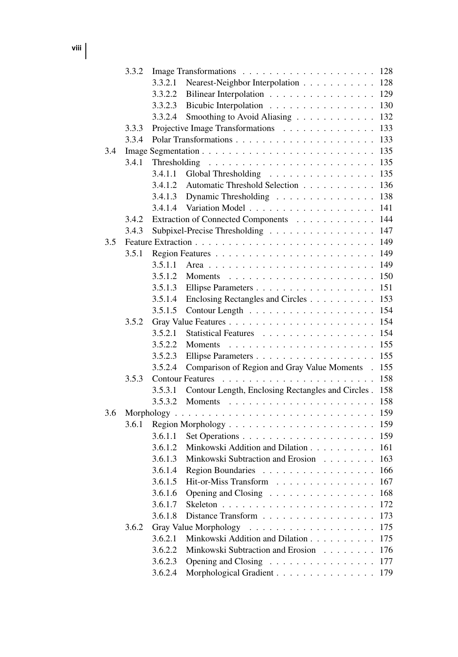**viii**

|     | 3.3.2 |                    |                                                                                   | 128        |
|-----|-------|--------------------|-----------------------------------------------------------------------------------|------------|
|     |       | 3.3.2.1            | Nearest-Neighbor Interpolation                                                    | 128        |
|     |       | 3.3.2.2            | Bilinear Interpolation                                                            | 129        |
|     |       | 3.3.2.3            | Bicubic Interpolation                                                             | 130        |
|     |       | 3.3.2.4            | Smoothing to Avoid Aliasing                                                       | 132        |
|     | 3.3.3 |                    | Projective Image Transformations                                                  | 133        |
|     | 3.3.4 |                    |                                                                                   | 133        |
| 3.4 |       |                    |                                                                                   | 135        |
|     | 3.4.1 | Thresholding       |                                                                                   | 135        |
|     |       | 3.4.1.1            | Global Thresholding<br>.                                                          | 135        |
|     |       | 3.4.1.2            | Automatic Threshold Selection                                                     | 136        |
|     |       | 3.4.1.3            | Dynamic Thresholding                                                              | 138        |
|     |       | 3.4.1.4            | Variation Model                                                                   | 141        |
|     | 3.4.2 |                    | Extraction of Connected Components                                                | 144        |
|     | 3.4.3 |                    | Subpixel-Precise Thresholding                                                     | 147        |
| 3.5 |       |                    |                                                                                   | 149        |
|     | 3.5.1 |                    |                                                                                   | 149        |
|     |       | 3.5.1.1            |                                                                                   | 149        |
|     |       | 3.5.1.2            | <b>Moments</b><br>.                                                               | 150        |
|     |       | 3.5.1.3            | Ellipse Parameters                                                                | 151        |
|     |       | 3.5.1.4            | Enclosing Rectangles and Circles                                                  | 153        |
|     |       | 3.5.1.5            | Contour Length                                                                    | 154        |
|     | 3.5.2 |                    |                                                                                   | 154        |
|     |       | 3.5.2.1            | <b>Statistical Features</b><br>.                                                  | 154        |
|     |       | 3.5.2.2            | Moments<br>.                                                                      | 155        |
|     |       | 3.5.2.3            | Ellipse Parameters                                                                | 155        |
|     |       | 3.5.2.4            | Comparison of Region and Gray Value Moments                                       | 155        |
|     | 3.5.3 |                    | <b>Contour Features</b>                                                           | 158        |
|     |       | 3.5.3.1            | Contour Length, Enclosing Rectangles and Circles.                                 | 158        |
|     |       | 3.5.3.2            | Moments<br>.                                                                      | 158        |
| 3.6 |       | Morphology.        | $\mathbf{1}$ $\mathbf{1}$                                                         | 159        |
|     | 3.6.1 |                    |                                                                                   | 159        |
|     |       | 3.6.1.1            | Set Operations                                                                    | 159        |
|     |       | 3.6.1.2            | Minkowski Addition and Dilation                                                   | 161        |
|     |       | 3.6.1.3            | Minkowski Subtraction and Erosion<br>$\sim$ $\sim$ $\sim$<br>$\ddot{\phantom{a}}$ | 163        |
|     |       | 3.6.1.4            | Region Boundaries                                                                 | 166        |
|     |       | 3.6.1.5            | Hit-or-Miss Transform                                                             | 167        |
|     |       | 3.6.1.6            | .<br>Opening and Closing                                                          | 168        |
|     |       |                    |                                                                                   |            |
|     |       | 3.6.1.7<br>3.6.1.8 | Distance Transform                                                                | 172        |
|     | 3.6.2 |                    |                                                                                   | 173<br>175 |
|     |       |                    | Gray Value Morphology<br>.                                                        |            |
|     |       | 3.6.2.1            | Minkowski Addition and Dilation                                                   | 175        |
|     |       | 3.6.2.2            | Minkowski Subtraction and Erosion                                                 | 176        |
|     |       | 3.6.2.3            | Opening and Closing                                                               | 177        |
|     |       | 3.6.2.4            | Morphological Gradient                                                            | 179        |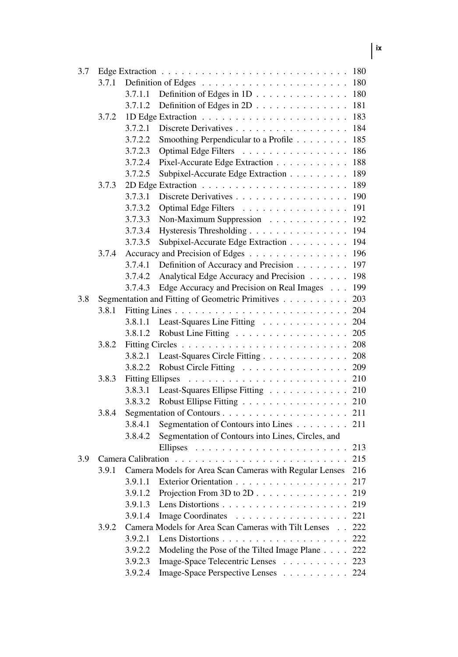| 3.7.1<br>180<br>180<br>3.7.1.1<br>Definition of Edges in $1D \ldots \ldots \ldots \ldots$<br>3.7.1.2<br>181<br>Definition of Edges in 2D $\ldots$<br>183<br>3.7.2<br>3.7.2.1<br>Discrete Derivatives<br>184<br>3.7.2.2<br>Smoothing Perpendicular to a Profile<br>185<br>186<br>3.7.2.3<br>Optimal Edge Filters<br>3.7.2.4<br>Pixel-Accurate Edge Extraction<br>188<br>3.7.2.5<br>Subpixel-Accurate Edge Extraction<br>189<br>189<br>3.7.3<br>3.7.3.1<br>Discrete Derivatives<br>190<br>3.7.3.2<br>191<br>Optimal Edge Filters<br>192<br>3.7.3.3<br>Non-Maximum Suppression<br>194<br>3.7.3.4<br>Hysteresis Thresholding<br>194<br>3.7.3.5<br>Subpixel-Accurate Edge Extraction<br>196<br>3.7.4<br>Accuracy and Precision of Edges<br>197<br>3.7.4.1<br>Definition of Accuracy and Precision<br>3.7.4.2<br>Analytical Edge Accuracy and Precision<br>198<br>199<br>3.7.4.3<br>Edge Accuracy and Precision on Real Images<br>Segmentation and Fitting of Geometric Primitives<br>203<br>3.8<br>204<br>3.8.1<br>204<br>Least-Squares Line Fitting<br>3.8.1.1<br>205<br>3.8.1.2<br>Robust Line Fitting |
|-----------------------------------------------------------------------------------------------------------------------------------------------------------------------------------------------------------------------------------------------------------------------------------------------------------------------------------------------------------------------------------------------------------------------------------------------------------------------------------------------------------------------------------------------------------------------------------------------------------------------------------------------------------------------------------------------------------------------------------------------------------------------------------------------------------------------------------------------------------------------------------------------------------------------------------------------------------------------------------------------------------------------------------------------------------------------------------------------------|
|                                                                                                                                                                                                                                                                                                                                                                                                                                                                                                                                                                                                                                                                                                                                                                                                                                                                                                                                                                                                                                                                                                     |
|                                                                                                                                                                                                                                                                                                                                                                                                                                                                                                                                                                                                                                                                                                                                                                                                                                                                                                                                                                                                                                                                                                     |
|                                                                                                                                                                                                                                                                                                                                                                                                                                                                                                                                                                                                                                                                                                                                                                                                                                                                                                                                                                                                                                                                                                     |
|                                                                                                                                                                                                                                                                                                                                                                                                                                                                                                                                                                                                                                                                                                                                                                                                                                                                                                                                                                                                                                                                                                     |
|                                                                                                                                                                                                                                                                                                                                                                                                                                                                                                                                                                                                                                                                                                                                                                                                                                                                                                                                                                                                                                                                                                     |
|                                                                                                                                                                                                                                                                                                                                                                                                                                                                                                                                                                                                                                                                                                                                                                                                                                                                                                                                                                                                                                                                                                     |
|                                                                                                                                                                                                                                                                                                                                                                                                                                                                                                                                                                                                                                                                                                                                                                                                                                                                                                                                                                                                                                                                                                     |
|                                                                                                                                                                                                                                                                                                                                                                                                                                                                                                                                                                                                                                                                                                                                                                                                                                                                                                                                                                                                                                                                                                     |
|                                                                                                                                                                                                                                                                                                                                                                                                                                                                                                                                                                                                                                                                                                                                                                                                                                                                                                                                                                                                                                                                                                     |
|                                                                                                                                                                                                                                                                                                                                                                                                                                                                                                                                                                                                                                                                                                                                                                                                                                                                                                                                                                                                                                                                                                     |
|                                                                                                                                                                                                                                                                                                                                                                                                                                                                                                                                                                                                                                                                                                                                                                                                                                                                                                                                                                                                                                                                                                     |
|                                                                                                                                                                                                                                                                                                                                                                                                                                                                                                                                                                                                                                                                                                                                                                                                                                                                                                                                                                                                                                                                                                     |
|                                                                                                                                                                                                                                                                                                                                                                                                                                                                                                                                                                                                                                                                                                                                                                                                                                                                                                                                                                                                                                                                                                     |
|                                                                                                                                                                                                                                                                                                                                                                                                                                                                                                                                                                                                                                                                                                                                                                                                                                                                                                                                                                                                                                                                                                     |
|                                                                                                                                                                                                                                                                                                                                                                                                                                                                                                                                                                                                                                                                                                                                                                                                                                                                                                                                                                                                                                                                                                     |
|                                                                                                                                                                                                                                                                                                                                                                                                                                                                                                                                                                                                                                                                                                                                                                                                                                                                                                                                                                                                                                                                                                     |
|                                                                                                                                                                                                                                                                                                                                                                                                                                                                                                                                                                                                                                                                                                                                                                                                                                                                                                                                                                                                                                                                                                     |
|                                                                                                                                                                                                                                                                                                                                                                                                                                                                                                                                                                                                                                                                                                                                                                                                                                                                                                                                                                                                                                                                                                     |
|                                                                                                                                                                                                                                                                                                                                                                                                                                                                                                                                                                                                                                                                                                                                                                                                                                                                                                                                                                                                                                                                                                     |
|                                                                                                                                                                                                                                                                                                                                                                                                                                                                                                                                                                                                                                                                                                                                                                                                                                                                                                                                                                                                                                                                                                     |
|                                                                                                                                                                                                                                                                                                                                                                                                                                                                                                                                                                                                                                                                                                                                                                                                                                                                                                                                                                                                                                                                                                     |
|                                                                                                                                                                                                                                                                                                                                                                                                                                                                                                                                                                                                                                                                                                                                                                                                                                                                                                                                                                                                                                                                                                     |
|                                                                                                                                                                                                                                                                                                                                                                                                                                                                                                                                                                                                                                                                                                                                                                                                                                                                                                                                                                                                                                                                                                     |
| 208<br>3.8.2                                                                                                                                                                                                                                                                                                                                                                                                                                                                                                                                                                                                                                                                                                                                                                                                                                                                                                                                                                                                                                                                                        |
| Least-Squares Circle Fitting<br>208<br>3.8.2.1                                                                                                                                                                                                                                                                                                                                                                                                                                                                                                                                                                                                                                                                                                                                                                                                                                                                                                                                                                                                                                                      |
| 3.8.2.2<br>Robust Circle Fitting<br>209                                                                                                                                                                                                                                                                                                                                                                                                                                                                                                                                                                                                                                                                                                                                                                                                                                                                                                                                                                                                                                                             |
| 210<br>3.8.3<br><b>Fitting Ellipses</b><br>$\mathcal{L}^{\mathcal{L}}(\mathcal{L}^{\mathcal{L}}(\mathcal{L}^{\mathcal{L}}(\mathcal{L}^{\mathcal{L}}(\mathcal{L}^{\mathcal{L}}(\mathcal{L}^{\mathcal{L}}(\mathcal{L}^{\mathcal{L}}(\mathcal{L}^{\mathcal{L}}(\mathcal{L}^{\mathcal{L}}(\mathcal{L}^{\mathcal{L}}(\mathcal{L}^{\mathcal{L}}(\mathcal{L}^{\mathcal{L}}(\mathcal{L}^{\mathcal{L}}(\mathcal{L}^{\mathcal{L}}(\mathcal{L}^{\mathcal{L}}(\mathcal{L}^{\mathcal{L}}(\mathcal{L}^{\mathcal{L$                                                                                                                                                                                                                                                                                                                                                                                                                                                                                                                                                                                                |
| Least-Squares Ellipse Fitting<br>210<br>3.8.3.1                                                                                                                                                                                                                                                                                                                                                                                                                                                                                                                                                                                                                                                                                                                                                                                                                                                                                                                                                                                                                                                     |
| 3.8.3.2<br>Robust Ellipse Fitting<br>210                                                                                                                                                                                                                                                                                                                                                                                                                                                                                                                                                                                                                                                                                                                                                                                                                                                                                                                                                                                                                                                            |
| 211<br>3.8.4                                                                                                                                                                                                                                                                                                                                                                                                                                                                                                                                                                                                                                                                                                                                                                                                                                                                                                                                                                                                                                                                                        |
| 3.8.4.1<br>Segmentation of Contours into Lines<br>211                                                                                                                                                                                                                                                                                                                                                                                                                                                                                                                                                                                                                                                                                                                                                                                                                                                                                                                                                                                                                                               |
| Segmentation of Contours into Lines, Circles, and<br>3.8.4.2                                                                                                                                                                                                                                                                                                                                                                                                                                                                                                                                                                                                                                                                                                                                                                                                                                                                                                                                                                                                                                        |
| 213                                                                                                                                                                                                                                                                                                                                                                                                                                                                                                                                                                                                                                                                                                                                                                                                                                                                                                                                                                                                                                                                                                 |
| 215<br>3.9                                                                                                                                                                                                                                                                                                                                                                                                                                                                                                                                                                                                                                                                                                                                                                                                                                                                                                                                                                                                                                                                                          |
| Camera Models for Area Scan Cameras with Regular Lenses<br>216<br>3.9.1                                                                                                                                                                                                                                                                                                                                                                                                                                                                                                                                                                                                                                                                                                                                                                                                                                                                                                                                                                                                                             |
| Exterior Orientation<br>3.9.1.1<br>217                                                                                                                                                                                                                                                                                                                                                                                                                                                                                                                                                                                                                                                                                                                                                                                                                                                                                                                                                                                                                                                              |
| 3.9.1.2<br>Projection From 3D to $2D \ldots \ldots \ldots \ldots$<br>219                                                                                                                                                                                                                                                                                                                                                                                                                                                                                                                                                                                                                                                                                                                                                                                                                                                                                                                                                                                                                            |
| 3.9.1.3<br>219                                                                                                                                                                                                                                                                                                                                                                                                                                                                                                                                                                                                                                                                                                                                                                                                                                                                                                                                                                                                                                                                                      |
| Image Coordinates<br>3.9.1.4<br>221                                                                                                                                                                                                                                                                                                                                                                                                                                                                                                                                                                                                                                                                                                                                                                                                                                                                                                                                                                                                                                                                 |
| Camera Models for Area Scan Cameras with Tilt Lenses<br>3.9.2<br>222                                                                                                                                                                                                                                                                                                                                                                                                                                                                                                                                                                                                                                                                                                                                                                                                                                                                                                                                                                                                                                |
| 3.9.2.1<br>222                                                                                                                                                                                                                                                                                                                                                                                                                                                                                                                                                                                                                                                                                                                                                                                                                                                                                                                                                                                                                                                                                      |
| Modeling the Pose of the Tilted Image Plane<br>3.9.2.2<br>222                                                                                                                                                                                                                                                                                                                                                                                                                                                                                                                                                                                                                                                                                                                                                                                                                                                                                                                                                                                                                                       |
| 3.9.2.3<br>Image-Space Telecentric Lenses<br>223                                                                                                                                                                                                                                                                                                                                                                                                                                                                                                                                                                                                                                                                                                                                                                                                                                                                                                                                                                                                                                                    |
| Image-Space Perspective Lenses<br>3.9.2.4<br>224                                                                                                                                                                                                                                                                                                                                                                                                                                                                                                                                                                                                                                                                                                                                                                                                                                                                                                                                                                                                                                                    |

## **ix**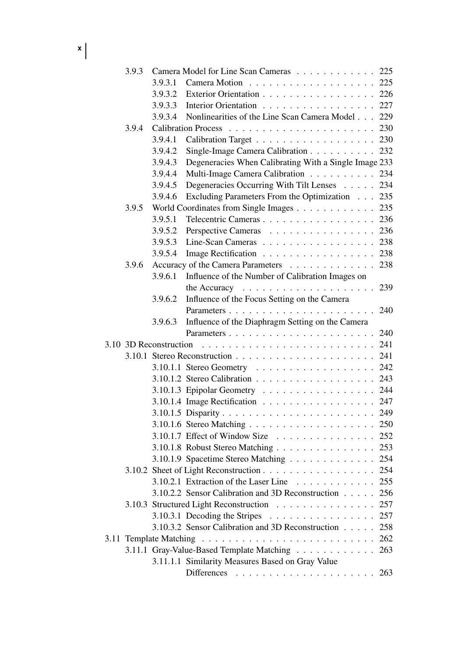| $x \mid$ |
|----------|
|----------|

| 3.9.3 |                        | Camera Model for Line Scan Cameras 225                             |     |
|-------|------------------------|--------------------------------------------------------------------|-----|
|       | 3.9.3.1                |                                                                    |     |
|       | 3.9.3.2                | Exterior Orientation 226                                           |     |
|       | 3.9.3.3                | Interior Orientation 227                                           |     |
|       | 3.9.3.4                | Nonlinearities of the Line Scan Camera Model 229                   |     |
| 3.9.4 |                        |                                                                    |     |
|       | 3.9.4.1                | Calibration Target 230                                             |     |
|       | 3.9.4.2                | Single-Image Camera Calibration 232                                |     |
|       | 3.9.4.3                | Degeneracies When Calibrating With a Single Image 233              |     |
|       | 3.9.4.4                | Multi-Image Camera Calibration 234                                 |     |
|       | 3.9.4.5                | Degeneracies Occurring With Tilt Lenses 234                        |     |
|       | 3.9.4.6                | Excluding Parameters From the Optimization 235                     |     |
| 3.9.5 |                        | World Coordinates from Single Images 235                           |     |
|       | 3.9.5.1                | Telecentric Cameras 236                                            |     |
|       | 3.9.5.2                | Perspective Cameras 236                                            |     |
|       | 3.9.5.3                | Line-Scan Cameras 238                                              |     |
|       | 3.9.5.4                | Image Rectification 238                                            |     |
| 3.9.6 |                        | Accuracy of the Camera Parameters                                  | 238 |
|       | 3.9.6.1                | Influence of the Number of Calibration Images on                   |     |
|       |                        |                                                                    | 239 |
|       | 3.9.6.2                | Influence of the Focus Setting on the Camera                       |     |
|       |                        |                                                                    | 240 |
|       | 3.9.6.3                | Influence of the Diaphragm Setting on the Camera                   |     |
|       |                        |                                                                    | 240 |
|       | 3.10 3D Reconstruction |                                                                    | 241 |
|       |                        |                                                                    |     |
|       |                        | 3.10.1.1 Stereo Geometry 242                                       |     |
|       |                        | 3.10.1.2 Stereo Calibration 243                                    |     |
|       |                        | 3.10.1.3 Epipolar Geometry 244                                     |     |
|       |                        | 3.10.1.4 Image Rectification 247                                   |     |
|       |                        |                                                                    |     |
|       |                        |                                                                    |     |
|       |                        | 3.10.1.7 Effect of Window Size 252                                 |     |
|       |                        | 3.10.1.8 Robust Stereo Matching 253                                |     |
|       |                        | 3.10.1.9 Spacetime Stereo Matching 254                             |     |
|       |                        | 3.10.2 Sheet of Light Reconstruction 254                           |     |
|       |                        | 3.10.2.1 Extraction of the Laser Line 255                          |     |
|       |                        | 3.10.2.2 Sensor Calibration and 3D Reconstruction 256              |     |
|       |                        |                                                                    | 257 |
|       |                        | 3.10.3.1 Decoding the Stripes $\ldots \ldots \ldots \ldots \ldots$ | 257 |
|       |                        | 3.10.3.2 Sensor Calibration and 3D Reconstruction                  | 258 |
|       |                        |                                                                    | 262 |
|       |                        | 3.11.1 Gray-Value-Based Template Matching                          | 263 |
|       |                        | 3.11.1.1 Similarity Measures Based on Gray Value                   |     |
|       |                        |                                                                    |     |
|       |                        |                                                                    |     |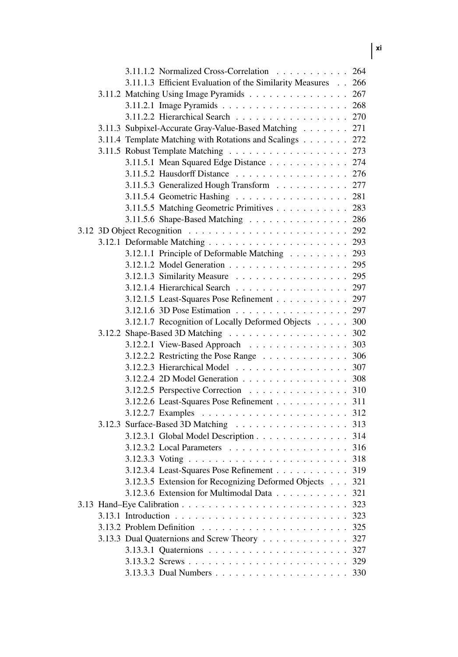| 3.11.1.2 Normalized Cross-Correlation                         | 264 |
|---------------------------------------------------------------|-----|
| 3.11.1.3 Efficient Evaluation of the Similarity Measures 266  |     |
| 3.11.2 Matching Using Image Pyramids                          | 267 |
|                                                               | 268 |
| 3.11.2.2 Hierarchical Search                                  | 270 |
| 3.11.3 Subpixel-Accurate Gray-Value-Based Matching            | 271 |
| 3.11.4 Template Matching with Rotations and Scalings          | 272 |
|                                                               | 273 |
| 3.11.5.1 Mean Squared Edge Distance                           | 274 |
|                                                               | 276 |
| 3.11.5.3 Generalized Hough Transform                          | 277 |
| 3.11.5.4 Geometric Hashing                                    | 281 |
| 3.11.5.5 Matching Geometric Primitives                        | 283 |
| 3.11.5.6 Shape-Based Matching                                 | 286 |
|                                                               | 292 |
|                                                               | 293 |
| 3.12.1.1 Principle of Deformable Matching                     | 293 |
|                                                               | 295 |
| 3.12.1.3 Similarity Measure                                   | 295 |
| 3.12.1.4 Hierarchical Search                                  | 297 |
| 3.12.1.5 Least-Squares Pose Refinement                        | 297 |
| 3.12.1.6 3D Pose Estimation                                   | 297 |
| 3.12.1.7 Recognition of Locally Deformed Objects              | 300 |
|                                                               | 302 |
| 3.12.2.1 View-Based Approach                                  | 303 |
| 3.12.2.2 Restricting the Pose Range $\dots \dots \dots \dots$ | 306 |
| 3.12.2.3 Hierarchical Model                                   | 307 |
| 3.12.2.4 2D Model Generation                                  | 308 |
| 3.12.2.5 Perspective Correction                               | 310 |
| 3.12.2.6 Least-Squares Pose Refinement                        | 311 |
|                                                               | 312 |
| 3.12.3 Surface-Based 3D Matching                              | 313 |
| 3.12.3.1 Global Model Description 314                         |     |
|                                                               |     |
|                                                               |     |
| 3.12.3.4 Least-Squares Pose Refinement 319                    |     |
| 3.12.3.5 Extension for Recognizing Deformed Objects           | 321 |
| $3.12.3.6$ Extension for Multimodal Data $\dots \dots \dots$  | 321 |
|                                                               | 323 |
|                                                               | 323 |
|                                                               | 325 |
| 3.13.3 Dual Quaternions and Screw Theory                      | 327 |
|                                                               | 327 |
|                                                               | 329 |
|                                                               | 330 |

**xi**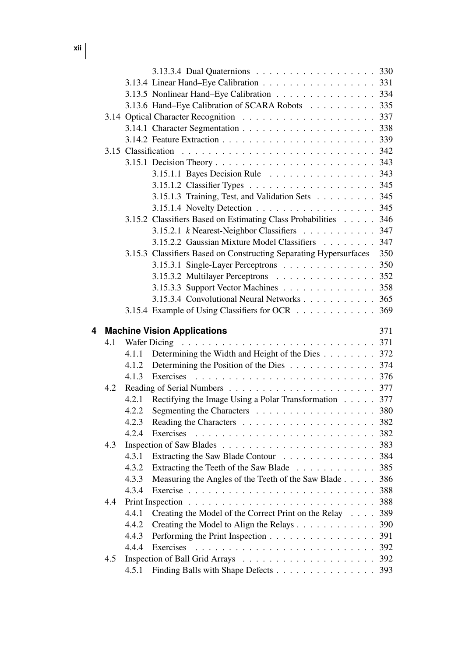**xii**

|   |     |                |                                                                                        | 330        |
|---|-----|----------------|----------------------------------------------------------------------------------------|------------|
|   |     |                | 3.13.4 Linear Hand-Eye Calibration 331                                                 |            |
|   |     |                | 3.13.5 Nonlinear Hand-Eye Calibration                                                  | 334        |
|   |     |                | 3.13.6 Hand-Eye Calibration of SCARA Robots                                            | 335        |
|   |     |                |                                                                                        | 337        |
|   |     |                |                                                                                        | 338        |
|   |     |                |                                                                                        | 339        |
|   |     |                |                                                                                        | 342        |
|   |     |                |                                                                                        | 343        |
|   |     |                | 3.15.1.1 Bayes Decision Rule $\ldots \ldots \ldots \ldots \ldots$                      | 343        |
|   |     |                |                                                                                        | 345        |
|   |     |                | 3.15.1.3 Training, Test, and Validation Sets                                           | 345        |
|   |     |                |                                                                                        | 345        |
|   |     |                | 3.15.2 Classifiers Based on Estimating Class Probabilities                             | 346        |
|   |     |                | 3.15.2.1 k Nearest-Neighbor Classifiers                                                | 347        |
|   |     |                | 3.15.2.2 Gaussian Mixture Model Classifiers                                            | 347        |
|   |     |                | 3.15.3 Classifiers Based on Constructing Separating Hypersurfaces                      | 350        |
|   |     |                | 3.15.3.1 Single-Layer Perceptrons                                                      | 350        |
|   |     |                | 3.15.3.2 Multilayer Perceptrons                                                        | 352        |
|   |     |                | 3.15.3.3 Support Vector Machines                                                       | 358        |
|   |     |                | 3.15.3.4 Convolutional Neural Networks                                                 | 365        |
|   |     |                | 3.15.4 Example of Using Classifiers for OCR                                            | 369        |
|   |     |                |                                                                                        |            |
|   |     |                |                                                                                        |            |
| 4 |     |                | <b>Machine Vision Applications</b>                                                     | 371        |
|   | 4.1 |                |                                                                                        |            |
|   |     | 4.1.1          | Determining the Width and Height of the Dies 372                                       |            |
|   |     | 4.1.2          | Determining the Position of the Dies 374                                               |            |
|   |     | 4.1.3          |                                                                                        |            |
|   | 4.2 |                |                                                                                        |            |
|   |     | 4.2.1          | Rectifying the Image Using a Polar Transformation 377                                  |            |
|   |     | 4.2.2          | Segmenting the Characters 380                                                          |            |
|   |     | 4.2.3<br>4.2.4 |                                                                                        |            |
|   |     |                |                                                                                        |            |
|   | 4.3 |                |                                                                                        |            |
|   |     | 4.3.1          | Extracting the Saw Blade Contour 384                                                   |            |
|   |     | 4.3.2<br>4.3.3 | Extracting the Teeth of the Saw Blade 385                                              |            |
|   |     | 434            | Measuring the Angles of the Teeth of the Saw Blade 386<br>Exercise $\ldots$ , $\ldots$ |            |
|   | 4.4 |                |                                                                                        | 388<br>388 |
|   |     | 4.4.1          |                                                                                        | 389        |
|   |     | 4.4.2          | Creating the Model of the Correct Print on the Relay                                   | 390        |
|   |     | 4.4.3          | Creating the Model to Align the Relays<br>Performing the Print Inspection              | 391        |
|   |     | 4.4.4          | Exercises                                                                              | 392        |
|   | 4.5 |                |                                                                                        | 392        |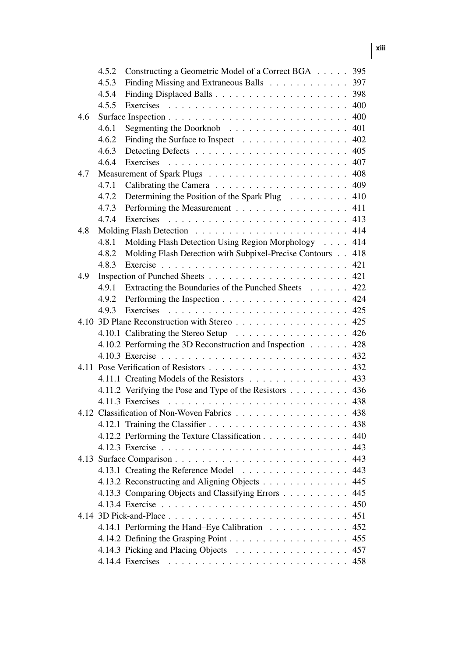|     | 4.5.2 | Constructing a Geometric Model of a Correct BGA                     | 395 |
|-----|-------|---------------------------------------------------------------------|-----|
|     | 4.5.3 | Finding Missing and Extraneous Balls                                | 397 |
|     | 4.5.4 |                                                                     | 398 |
|     | 4.5.5 |                                                                     | 400 |
| 4.6 |       |                                                                     | 400 |
|     | 4.6.1 | Segmenting the Doorknob $\ldots \ldots \ldots \ldots \ldots \ldots$ | 401 |
|     | 4.6.2 | Finding the Surface to Inspect                                      | 402 |
|     | 4.6.3 |                                                                     | 405 |
|     | 4.6.4 | Exercises                                                           | 407 |
| 4.7 |       |                                                                     | 408 |
|     | 4.7.1 |                                                                     | 409 |
|     | 4.7.2 | Determining the Position of the Spark Plug                          | 410 |
|     | 4.7.3 | Performing the Measurement                                          | 411 |
|     | 4.7.4 | Exercises                                                           | 413 |
| 4.8 |       |                                                                     | 414 |
|     | 4.8.1 | Molding Flash Detection Using Region Morphology                     | 414 |
|     | 4.8.2 | Molding Flash Detection with Subpixel-Precise Contours              | 418 |
|     | 4.8.3 |                                                                     | 421 |
| 4.9 |       |                                                                     | 421 |
|     | 4.9.1 | Extracting the Boundaries of the Punched Sheets                     | 422 |
|     | 4.9.2 |                                                                     | 424 |
|     | 4.9.3 | Exercises                                                           | 425 |
|     |       | 4.10 3D Plane Reconstruction with Stereo                            | 425 |
|     |       | 4.10.1 Calibrating the Stereo Setup                                 | 426 |
|     |       | 4.10.2 Performing the 3D Reconstruction and Inspection              | 428 |
|     |       |                                                                     | 432 |
|     |       |                                                                     | 432 |
|     |       | 4.11.1 Creating Models of the Resistors                             | 433 |
|     |       | 4.11.2 Verifying the Pose and Type of the Resistors                 | 436 |
|     |       | 4.11.3 Exercises                                                    | 438 |
|     |       | 4.12 Classification of Non-Woven Fabrics                            | 438 |
|     |       |                                                                     | 438 |
|     |       | 4.12.2 Performing the Texture Classification                        | 440 |
|     |       |                                                                     | 443 |
|     |       |                                                                     | 443 |
|     |       | 4.13.1 Creating the Reference Model                                 | 443 |
|     |       | 4.13.2 Reconstructing and Aligning Objects                          | 445 |
|     |       | 4.13.3 Comparing Objects and Classifying Errors                     | 445 |
|     |       |                                                                     | 450 |
|     |       |                                                                     | 451 |
|     |       | 4.14.1 Performing the Hand-Eye Calibration                          | 452 |
|     |       |                                                                     | 455 |
|     |       | 4.14.3 Picking and Placing Objects                                  | 457 |
|     |       |                                                                     | 458 |